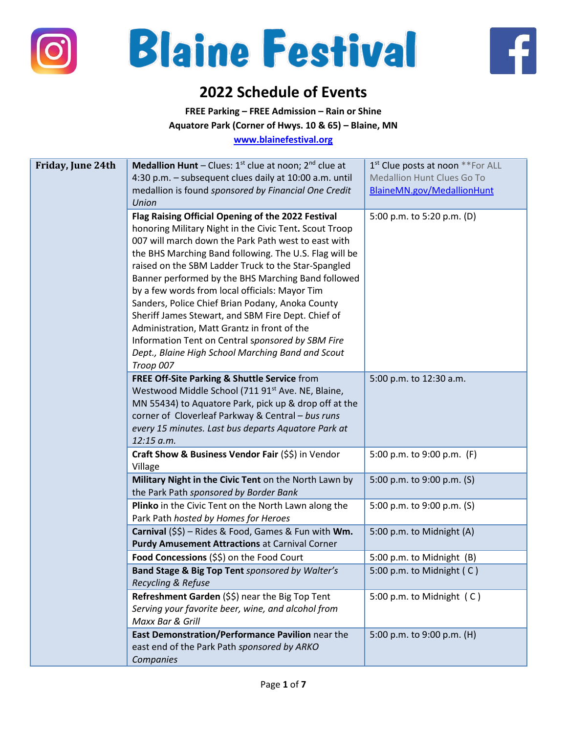





## **2022 Schedule of Events**

**FREE Parking – FREE Admission – Rain or Shine**

**Aquatore Park (Corner of Hwys. 10 & 65) – Blaine, MN**

**[www.blainefestival.org](http://www.blainefestival.org/)**

| Friday, June 24th | <b>Medallion Hunt</b> – Clues: $1^{st}$ clue at noon; $2^{nd}$ clue at                                     | 1 <sup>st</sup> Clue posts at noon **For ALL |
|-------------------|------------------------------------------------------------------------------------------------------------|----------------------------------------------|
|                   | 4:30 p.m. - subsequent clues daily at 10:00 a.m. until                                                     | Medallion Hunt Clues Go To                   |
|                   | medallion is found sponsored by Financial One Credit                                                       | BlaineMN.gov/MedallionHunt                   |
|                   | <b>Union</b>                                                                                               |                                              |
|                   | Flag Raising Official Opening of the 2022 Festival                                                         | 5:00 p.m. to 5:20 p.m. (D)                   |
|                   | honoring Military Night in the Civic Tent. Scout Troop                                                     |                                              |
|                   | 007 will march down the Park Path west to east with                                                        |                                              |
|                   | the BHS Marching Band following. The U.S. Flag will be                                                     |                                              |
|                   | raised on the SBM Ladder Truck to the Star-Spangled                                                        |                                              |
|                   | Banner performed by the BHS Marching Band followed                                                         |                                              |
|                   | by a few words from local officials: Mayor Tim                                                             |                                              |
|                   | Sanders, Police Chief Brian Podany, Anoka County                                                           |                                              |
|                   | Sheriff James Stewart, and SBM Fire Dept. Chief of                                                         |                                              |
|                   | Administration, Matt Grantz in front of the                                                                |                                              |
|                   | Information Tent on Central sponsored by SBM Fire                                                          |                                              |
|                   | Dept., Blaine High School Marching Band and Scout                                                          |                                              |
|                   | Troop 007                                                                                                  |                                              |
|                   | FREE Off-Site Parking & Shuttle Service from                                                               | 5:00 p.m. to 12:30 a.m.                      |
|                   | Westwood Middle School (711 91 <sup>st</sup> Ave. NE, Blaine,                                              |                                              |
|                   | MN 55434) to Aquatore Park, pick up & drop off at the<br>corner of Cloverleaf Parkway & Central - bus runs |                                              |
|                   | every 15 minutes. Last bus departs Aquatore Park at                                                        |                                              |
|                   | 12:15 a.m.                                                                                                 |                                              |
|                   | Craft Show & Business Vendor Fair (\$\$) in Vendor                                                         | 5:00 p.m. to 9:00 p.m. (F)                   |
|                   | Village                                                                                                    |                                              |
|                   | Military Night in the Civic Tent on the North Lawn by                                                      | 5:00 p.m. to 9:00 p.m. (S)                   |
|                   | the Park Path sponsored by Border Bank                                                                     |                                              |
|                   | Plinko in the Civic Tent on the North Lawn along the                                                       | 5:00 p.m. to 9:00 p.m. (S)                   |
|                   | Park Path hosted by Homes for Heroes                                                                       |                                              |
|                   | Carnival (\$\$) - Rides & Food, Games & Fun with Wm.                                                       | 5:00 p.m. to Midnight (A)                    |
|                   | <b>Purdy Amusement Attractions at Carnival Corner</b>                                                      |                                              |
|                   | Food Concessions (\$\$) on the Food Court                                                                  | 5:00 p.m. to Midnight (B)                    |
|                   | Band Stage & Big Top Tent sponsored by Walter's                                                            | 5:00 p.m. to Midnight (C)                    |
|                   | Recycling & Refuse                                                                                         |                                              |
|                   | Refreshment Garden (\$\$) near the Big Top Tent                                                            | 5:00 p.m. to Midnight (C)                    |
|                   | Serving your favorite beer, wine, and alcohol from                                                         |                                              |
|                   | Maxx Bar & Grill<br>East Demonstration/Performance Pavilion near the                                       |                                              |
|                   | east end of the Park Path sponsored by ARKO                                                                | 5:00 p.m. to 9:00 p.m. (H)                   |
|                   | Companies                                                                                                  |                                              |
|                   |                                                                                                            |                                              |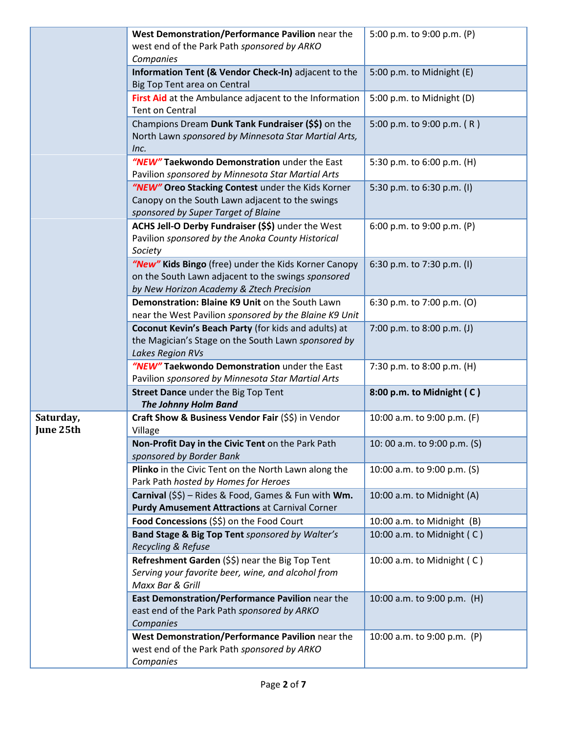|                        | West Demonstration/Performance Pavilion near the<br>west end of the Park Path sponsored by ARKO<br>Companies                                           | 5:00 p.m. to 9:00 p.m. (P)   |
|------------------------|--------------------------------------------------------------------------------------------------------------------------------------------------------|------------------------------|
|                        | Information Tent (& Vendor Check-In) adjacent to the<br>Big Top Tent area on Central                                                                   | 5:00 p.m. to Midnight (E)    |
|                        | First Aid at the Ambulance adjacent to the Information<br>Tent on Central                                                                              | 5:00 p.m. to Midnight (D)    |
|                        | Champions Dream Dunk Tank Fundraiser (\$\$) on the<br>North Lawn sponsored by Minnesota Star Martial Arts,<br>Inc.                                     | 5:00 p.m. to 9:00 p.m. (R)   |
|                        | "NEW" Taekwondo Demonstration under the East<br>Pavilion sponsored by Minnesota Star Martial Arts                                                      | 5:30 p.m. to 6:00 p.m. (H)   |
|                        | "NEW" Oreo Stacking Contest under the Kids Korner<br>Canopy on the South Lawn adjacent to the swings<br>sponsored by Super Target of Blaine            | 5:30 p.m. to 6:30 p.m. (I)   |
|                        | ACHS Jell-O Derby Fundraiser (\$\$) under the West<br>Pavilion sponsored by the Anoka County Historical<br>Society                                     | 6:00 p.m. to 9:00 p.m. (P)   |
|                        | "New" Kids Bingo (free) under the Kids Korner Canopy<br>on the South Lawn adjacent to the swings sponsored<br>by New Horizon Academy & Ztech Precision | 6:30 p.m. to 7:30 p.m. (I)   |
|                        | Demonstration: Blaine K9 Unit on the South Lawn<br>near the West Pavilion sponsored by the Blaine K9 Unit                                              | 6:30 p.m. to 7:00 p.m. (O)   |
|                        | Coconut Kevin's Beach Party (for kids and adults) at<br>the Magician's Stage on the South Lawn sponsored by<br>Lakes Region RVs                        | 7:00 p.m. to 8:00 p.m. (J)   |
|                        | "NEW" Taekwondo Demonstration under the East<br>Pavilion sponsored by Minnesota Star Martial Arts                                                      | 7:30 p.m. to 8:00 p.m. (H)   |
|                        | Street Dance under the Big Top Tent<br><b>The Johnny Holm Band</b>                                                                                     | 8:00 p.m. to Midnight (C)    |
| Saturday,<br>June 25th | Craft Show & Business Vendor Fair (\$\$) in Vendor<br>Village                                                                                          | 10:00 a.m. to 9:00 p.m. (F)  |
|                        | Non-Profit Day in the Civic Tent on the Park Path<br>sponsored by Border Bank                                                                          | 10:00 a.m. to 9:00 p.m. (S)  |
|                        | Plinko in the Civic Tent on the North Lawn along the<br>Park Path hosted by Homes for Heroes                                                           | 10:00 a.m. to 9:00 p.m. (S)  |
|                        | Carnival (\$\$) - Rides & Food, Games & Fun with Wm.<br><b>Purdy Amusement Attractions at Carnival Corner</b>                                          | 10:00 a.m. to Midnight (A)   |
|                        | Food Concessions (\$\$) on the Food Court                                                                                                              | 10:00 a.m. to Midnight (B)   |
|                        | Band Stage & Big Top Tent sponsored by Walter's<br>Recycling & Refuse                                                                                  | 10:00 a.m. to Midnight $(C)$ |
|                        | Refreshment Garden (\$\$) near the Big Top Tent<br>Serving your favorite beer, wine, and alcohol from<br>Maxx Bar & Grill                              | 10:00 a.m. to Midnight $(C)$ |
|                        | East Demonstration/Performance Pavilion near the<br>east end of the Park Path sponsored by ARKO<br>Companies                                           | 10:00 a.m. to 9:00 p.m. (H)  |
|                        | West Demonstration/Performance Pavilion near the<br>west end of the Park Path sponsored by ARKO<br>Companies                                           | 10:00 a.m. to 9:00 p.m. (P)  |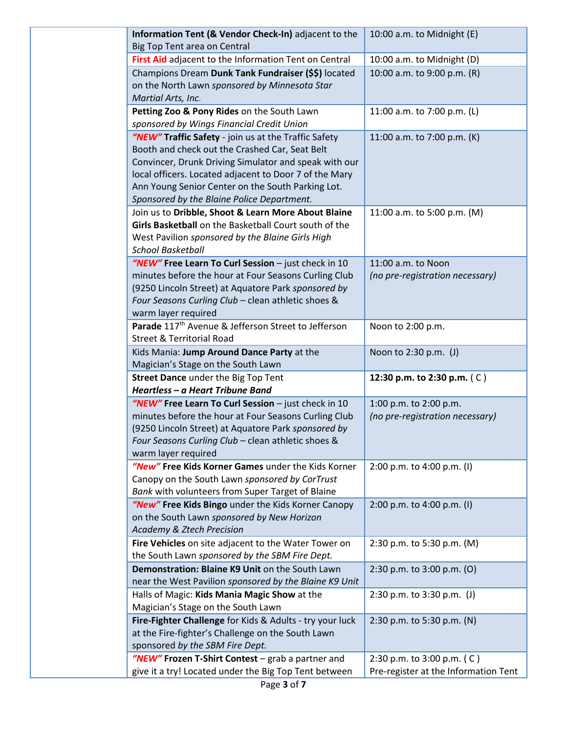| Information Tent (& Vendor Check-In) adjacent to the            | 10:00 a.m. to Midnight (E)           |
|-----------------------------------------------------------------|--------------------------------------|
| Big Top Tent area on Central                                    |                                      |
| First Aid adjacent to the Information Tent on Central           | 10:00 a.m. to Midnight (D)           |
| Champions Dream Dunk Tank Fundraiser (\$\$) located             | 10:00 a.m. to 9:00 p.m. (R)          |
| on the North Lawn sponsored by Minnesota Star                   |                                      |
| Martial Arts, Inc.                                              |                                      |
| Petting Zoo & Pony Rides on the South Lawn                      | 11:00 a.m. to 7:00 p.m. (L)          |
| sponsored by Wings Financial Credit Union                       |                                      |
| "NEW" Traffic Safety - join us at the Traffic Safety            | 11:00 a.m. to 7:00 p.m. (K)          |
| Booth and check out the Crashed Car, Seat Belt                  |                                      |
| Convincer, Drunk Driving Simulator and speak with our           |                                      |
| local officers. Located adjacent to Door 7 of the Mary          |                                      |
| Ann Young Senior Center on the South Parking Lot.               |                                      |
| Sponsored by the Blaine Police Department.                      |                                      |
| Join us to Dribble, Shoot & Learn More About Blaine             | 11:00 a.m. to 5:00 p.m. (M)          |
| Girls Basketball on the Basketball Court south of the           |                                      |
| West Pavilion sponsored by the Blaine Girls High                |                                      |
| <b>School Basketball</b>                                        |                                      |
| "NEW" Free Learn To Curl Session - just check in 10             | 11:00 a.m. to Noon                   |
| minutes before the hour at Four Seasons Curling Club            | (no pre-registration necessary)      |
| (9250 Lincoln Street) at Aquatore Park sponsored by             |                                      |
| Four Seasons Curling Club - clean athletic shoes &              |                                      |
| warm layer required                                             |                                      |
| Parade 117 <sup>th</sup> Avenue & Jefferson Street to Jefferson | Noon to 2:00 p.m.                    |
| <b>Street &amp; Territorial Road</b>                            |                                      |
| Kids Mania: Jump Around Dance Party at the                      | Noon to 2:30 p.m. (J)                |
| Magician's Stage on the South Lawn                              |                                      |
| <b>Street Dance under the Big Top Tent</b>                      | 12:30 p.m. to 2:30 p.m. (C)          |
| Heartless - a Heart Tribune Band                                |                                      |
| "NEW" Free Learn To Curl Session - just check in 10             | 1:00 p.m. to 2:00 p.m.               |
| minutes before the hour at Four Seasons Curling Club            | (no pre-registration necessary)      |
| (9250 Lincoln Street) at Aquatore Park sponsored by             |                                      |
| Four Seasons Curling Club - clean athletic shoes &              |                                      |
| warm layer required                                             |                                      |
| "New" Free Kids Korner Games under the Kids Korner              | 2:00 p.m. to 4:00 p.m. (I)           |
| Canopy on the South Lawn sponsored by CorTrust                  |                                      |
| Bank with volunteers from Super Target of Blaine                |                                      |
| "New" Free Kids Bingo under the Kids Korner Canopy              | 2:00 p.m. to 4:00 p.m. (I)           |
| on the South Lawn sponsored by New Horizon                      |                                      |
| <b>Academy &amp; Ztech Precision</b>                            |                                      |
| Fire Vehicles on site adjacent to the Water Tower on            | 2:30 p.m. to 5:30 p.m. (M)           |
| the South Lawn sponsored by the SBM Fire Dept.                  |                                      |
| Demonstration: Blaine K9 Unit on the South Lawn                 | 2:30 p.m. to 3:00 p.m. (O)           |
| near the West Pavilion sponsored by the Blaine K9 Unit          |                                      |
| Halls of Magic: Kids Mania Magic Show at the                    | 2:30 p.m. to 3:30 p.m. $(J)$         |
| Magician's Stage on the South Lawn                              |                                      |
| Fire-Fighter Challenge for Kids & Adults - try your luck        | 2:30 p.m. to 5:30 p.m. (N)           |
| at the Fire-fighter's Challenge on the South Lawn               |                                      |
| sponsored by the SBM Fire Dept.                                 |                                      |
| "NEW" Frozen T-Shirt Contest - grab a partner and               | 2:30 p.m. to 3:00 p.m. (C)           |
| give it a try! Located under the Big Top Tent between           | Pre-register at the Information Tent |
|                                                                 |                                      |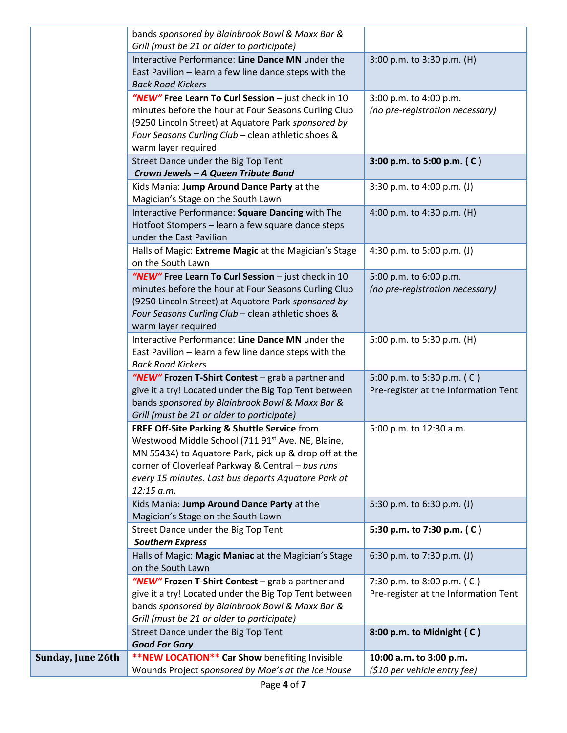|                   | bands sponsored by Blainbrook Bowl & Maxx Bar &                                   |                                      |
|-------------------|-----------------------------------------------------------------------------------|--------------------------------------|
|                   | Grill (must be 21 or older to participate)                                        |                                      |
|                   | Interactive Performance: Line Dance MN under the                                  | 3:00 p.m. to 3:30 p.m. (H)           |
|                   | East Pavilion - learn a few line dance steps with the                             |                                      |
|                   | <b>Back Road Kickers</b>                                                          |                                      |
|                   | "NEW" Free Learn To Curl Session - just check in 10                               | 3:00 p.m. to 4:00 p.m.               |
|                   | minutes before the hour at Four Seasons Curling Club                              | (no pre-registration necessary)      |
|                   | (9250 Lincoln Street) at Aquatore Park sponsored by                               |                                      |
|                   | Four Seasons Curling Club - clean athletic shoes &                                |                                      |
|                   | warm layer required                                                               |                                      |
|                   | Street Dance under the Big Top Tent                                               | 3:00 p.m. to 5:00 p.m. (C)           |
|                   | Crown Jewels - A Queen Tribute Band                                               |                                      |
|                   | Kids Mania: Jump Around Dance Party at the                                        | 3:30 p.m. to 4:00 p.m. (J)           |
|                   | Magician's Stage on the South Lawn                                                |                                      |
|                   | Interactive Performance: Square Dancing with The                                  | 4:00 p.m. to 4:30 p.m. (H)           |
|                   | Hotfoot Stompers - learn a few square dance steps                                 |                                      |
|                   | under the East Pavilion                                                           |                                      |
|                   | Halls of Magic: Extreme Magic at the Magician's Stage                             | 4:30 p.m. to 5:00 p.m. (J)           |
|                   | on the South Lawn                                                                 |                                      |
|                   | "NEW" Free Learn To Curl Session - just check in 10                               | 5:00 p.m. to 6:00 p.m.               |
|                   | minutes before the hour at Four Seasons Curling Club                              | (no pre-registration necessary)      |
|                   | (9250 Lincoln Street) at Aquatore Park sponsored by                               |                                      |
|                   | Four Seasons Curling Club - clean athletic shoes &                                |                                      |
|                   | warm layer required                                                               |                                      |
|                   | Interactive Performance: Line Dance MN under the                                  | 5:00 p.m. to 5:30 p.m. (H)           |
|                   | East Pavilion - learn a few line dance steps with the<br><b>Back Road Kickers</b> |                                      |
|                   | "NEW" Frozen T-Shirt Contest - grab a partner and                                 | 5:00 p.m. to 5:30 p.m. (C)           |
|                   | give it a try! Located under the Big Top Tent between                             | Pre-register at the Information Tent |
|                   | bands sponsored by Blainbrook Bowl & Maxx Bar &                                   |                                      |
|                   | Grill (must be 21 or older to participate)                                        |                                      |
|                   | FREE Off-Site Parking & Shuttle Service from                                      | 5:00 p.m. to 12:30 a.m.              |
|                   | Westwood Middle School (711 91st Ave. NE, Blaine,                                 |                                      |
|                   | MN 55434) to Aquatore Park, pick up & drop off at the                             |                                      |
|                   | corner of Cloverleaf Parkway & Central - bus runs                                 |                                      |
|                   | every 15 minutes. Last bus departs Aquatore Park at                               |                                      |
|                   | 12:15 a.m.                                                                        |                                      |
|                   | Kids Mania: Jump Around Dance Party at the                                        | 5:30 p.m. to 6:30 p.m. (J)           |
|                   | Magician's Stage on the South Lawn                                                |                                      |
|                   | Street Dance under the Big Top Tent                                               | 5:30 p.m. to 7:30 p.m. (C)           |
|                   | <b>Southern Express</b>                                                           |                                      |
|                   | Halls of Magic: Magic Maniac at the Magician's Stage                              | 6:30 p.m. to 7:30 p.m. (J)           |
|                   | on the South Lawn                                                                 |                                      |
|                   | "NEW" Frozen T-Shirt Contest - grab a partner and                                 | 7:30 p.m. to 8:00 p.m. (C)           |
|                   | give it a try! Located under the Big Top Tent between                             | Pre-register at the Information Tent |
|                   | bands sponsored by Blainbrook Bowl & Maxx Bar &                                   |                                      |
|                   | Grill (must be 21 or older to participate)                                        |                                      |
|                   | Street Dance under the Big Top Tent                                               | 8:00 p.m. to Midnight (C)            |
|                   | <b>Good For Gary</b>                                                              |                                      |
| Sunday, June 26th | **NEW LOCATION** Car Show benefiting Invisible                                    | 10:00 a.m. to 3:00 p.m.              |
|                   | Wounds Project sponsored by Moe's at the Ice House                                | (\$10 per vehicle entry fee)         |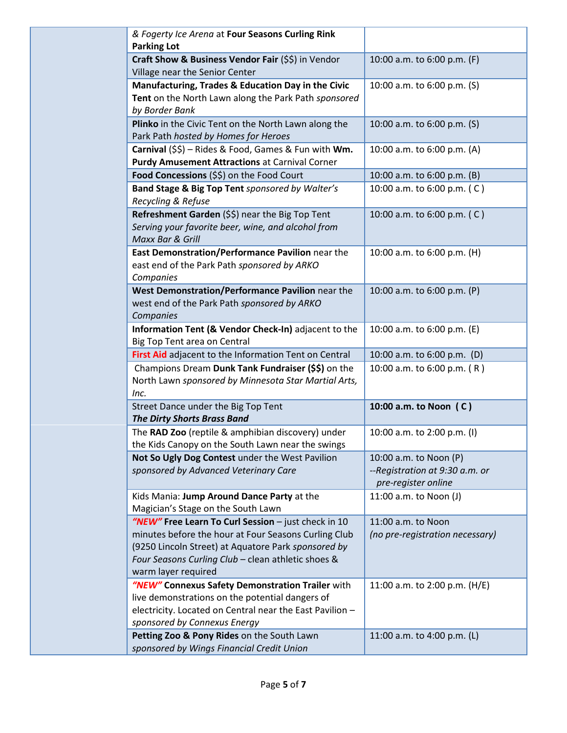| & Fogerty Ice Arena at Four Seasons Curling Rink                                                                                                                                                                                                |                                                                                 |
|-------------------------------------------------------------------------------------------------------------------------------------------------------------------------------------------------------------------------------------------------|---------------------------------------------------------------------------------|
| <b>Parking Lot</b>                                                                                                                                                                                                                              |                                                                                 |
| Craft Show & Business Vendor Fair (\$\$) in Vendor<br>Village near the Senior Center                                                                                                                                                            | 10:00 a.m. to 6:00 p.m. (F)                                                     |
| Manufacturing, Trades & Education Day in the Civic<br>Tent on the North Lawn along the Park Path sponsored<br>by Border Bank                                                                                                                    | 10:00 a.m. to 6:00 p.m. (S)                                                     |
| Plinko in the Civic Tent on the North Lawn along the<br>Park Path hosted by Homes for Heroes                                                                                                                                                    | 10:00 a.m. to 6:00 p.m. (S)                                                     |
| Carnival (\$\$) - Rides & Food, Games & Fun with Wm.<br><b>Purdy Amusement Attractions at Carnival Corner</b>                                                                                                                                   | 10:00 a.m. to 6:00 p.m. (A)                                                     |
| Food Concessions (\$\$) on the Food Court                                                                                                                                                                                                       | 10:00 a.m. to 6:00 p.m. (B)                                                     |
| Band Stage & Big Top Tent sponsored by Walter's<br>Recycling & Refuse                                                                                                                                                                           | 10:00 a.m. to 6:00 p.m. (C)                                                     |
| Refreshment Garden (\$\$) near the Big Top Tent<br>Serving your favorite beer, wine, and alcohol from<br>Maxx Bar & Grill                                                                                                                       | 10:00 a.m. to 6:00 p.m. (C)                                                     |
| East Demonstration/Performance Pavilion near the<br>east end of the Park Path sponsored by ARKO<br>Companies                                                                                                                                    | 10:00 a.m. to 6:00 p.m. (H)                                                     |
| West Demonstration/Performance Pavilion near the<br>west end of the Park Path sponsored by ARKO<br>Companies                                                                                                                                    | 10:00 a.m. to 6:00 p.m. (P)                                                     |
| Information Tent (& Vendor Check-In) adjacent to the<br>Big Top Tent area on Central                                                                                                                                                            | 10:00 a.m. to 6:00 p.m. (E)                                                     |
| First Aid adjacent to the Information Tent on Central                                                                                                                                                                                           | 10:00 a.m. to 6:00 p.m. (D)                                                     |
| Champions Dream Dunk Tank Fundraiser (\$\$) on the<br>North Lawn sponsored by Minnesota Star Martial Arts,<br>Inc.                                                                                                                              | 10:00 a.m. to 6:00 p.m. (R)                                                     |
| Street Dance under the Big Top Tent<br><b>The Dirty Shorts Brass Band</b>                                                                                                                                                                       | 10:00 a.m. to Noon (C)                                                          |
| The RAD Zoo (reptile & amphibian discovery) under<br>the Kids Canopy on the South Lawn near the swings                                                                                                                                          | 10:00 a.m. to 2:00 p.m. (I)                                                     |
| Not So Ugly Dog Contest under the West Pavilion<br>sponsored by Advanced Veterinary Care                                                                                                                                                        | 10:00 a.m. to Noon (P)<br>--Registration at 9:30 a.m. or<br>pre-register online |
| Kids Mania: Jump Around Dance Party at the<br>Magician's Stage on the South Lawn                                                                                                                                                                | 11:00 a.m. to Noon (J)                                                          |
| "NEW" Free Learn To Curl Session - just check in 10<br>minutes before the hour at Four Seasons Curling Club<br>(9250 Lincoln Street) at Aquatore Park sponsored by<br>Four Seasons Curling Club - clean athletic shoes &<br>warm layer required | 11:00 a.m. to Noon<br>(no pre-registration necessary)                           |
| "NEW" Connexus Safety Demonstration Trailer with<br>live demonstrations on the potential dangers of<br>electricity. Located on Central near the East Pavilion -<br>sponsored by Connexus Energy                                                 | 11:00 a.m. to 2:00 p.m. (H/E)                                                   |
| Petting Zoo & Pony Rides on the South Lawn<br>sponsored by Wings Financial Credit Union                                                                                                                                                         | 11:00 a.m. to 4:00 p.m. (L)                                                     |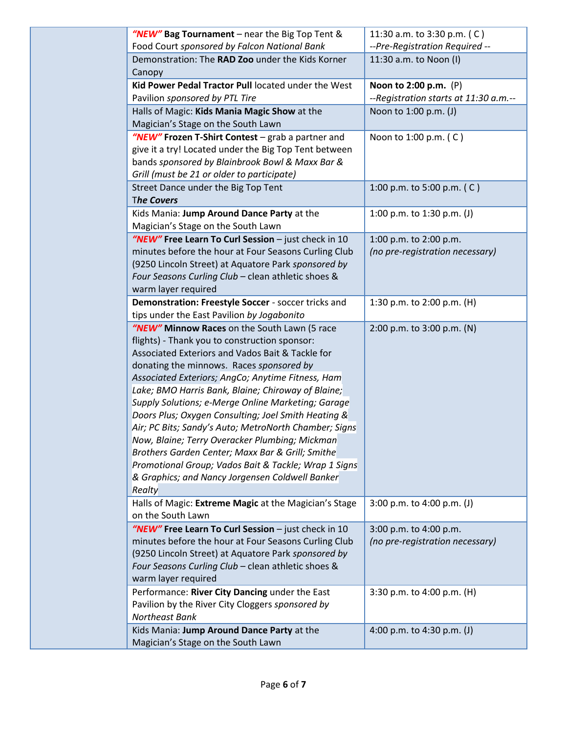| "NEW" Bag Tournament - near the Big Top Tent &                                                                                                                                                                                                                                                                                                                                                                                                                                                                                                                                                                                                                                                            | 11:30 a.m. to 3:30 p.m. (C)                               |
|-----------------------------------------------------------------------------------------------------------------------------------------------------------------------------------------------------------------------------------------------------------------------------------------------------------------------------------------------------------------------------------------------------------------------------------------------------------------------------------------------------------------------------------------------------------------------------------------------------------------------------------------------------------------------------------------------------------|-----------------------------------------------------------|
| Food Court sponsored by Falcon National Bank                                                                                                                                                                                                                                                                                                                                                                                                                                                                                                                                                                                                                                                              | --Pre-Registration Required --                            |
| Demonstration: The RAD Zoo under the Kids Korner<br>Canopy                                                                                                                                                                                                                                                                                                                                                                                                                                                                                                                                                                                                                                                | 11:30 a.m. to Noon (I)                                    |
| Kid Power Pedal Tractor Pull located under the West                                                                                                                                                                                                                                                                                                                                                                                                                                                                                                                                                                                                                                                       | Noon to 2:00 p.m. (P)                                     |
| Pavilion sponsored by PTL Tire                                                                                                                                                                                                                                                                                                                                                                                                                                                                                                                                                                                                                                                                            | --Registration starts at 11:30 a.m.--                     |
| Halls of Magic: Kids Mania Magic Show at the<br>Magician's Stage on the South Lawn                                                                                                                                                                                                                                                                                                                                                                                                                                                                                                                                                                                                                        | Noon to 1:00 p.m. (J)                                     |
| "NEW" Frozen T-Shirt Contest - grab a partner and<br>give it a try! Located under the Big Top Tent between<br>bands sponsored by Blainbrook Bowl & Maxx Bar &<br>Grill (must be 21 or older to participate)                                                                                                                                                                                                                                                                                                                                                                                                                                                                                               | Noon to 1:00 p.m. (C)                                     |
| Street Dance under the Big Top Tent<br><b>The Covers</b>                                                                                                                                                                                                                                                                                                                                                                                                                                                                                                                                                                                                                                                  | 1:00 p.m. to 5:00 p.m. (C)                                |
| Kids Mania: Jump Around Dance Party at the<br>Magician's Stage on the South Lawn                                                                                                                                                                                                                                                                                                                                                                                                                                                                                                                                                                                                                          | 1:00 p.m. to 1:30 p.m. (J)                                |
| "NEW" Free Learn To Curl Session - just check in 10<br>minutes before the hour at Four Seasons Curling Club<br>(9250 Lincoln Street) at Aquatore Park sponsored by                                                                                                                                                                                                                                                                                                                                                                                                                                                                                                                                        | 1:00 p.m. to 2:00 p.m.<br>(no pre-registration necessary) |
| Four Seasons Curling Club - clean athletic shoes &<br>warm layer required                                                                                                                                                                                                                                                                                                                                                                                                                                                                                                                                                                                                                                 |                                                           |
| Demonstration: Freestyle Soccer - soccer tricks and<br>tips under the East Pavilion by Jogabonito                                                                                                                                                                                                                                                                                                                                                                                                                                                                                                                                                                                                         | 1:30 p.m. to 2:00 p.m. (H)                                |
| "NEW" Minnow Races on the South Lawn (5 race<br>flights) - Thank you to construction sponsor:<br>Associated Exteriors and Vados Bait & Tackle for<br>donating the minnows. Races sponsored by<br>Associated Exteriors; AngCo; Anytime Fitness, Ham<br>Lake; BMO Harris Bank, Blaine; Chiroway of Blaine;<br>Supply Solutions; e-Merge Online Marketing; Garage<br>Doors Plus; Oxygen Consulting; Joel Smith Heating &<br>Air; PC Bits; Sandy's Auto; MetroNorth Chamber; Signs<br>Now, Blaine; Terry Overacker Plumbing; Mickman<br>Brothers Garden Center; Maxx Bar & Grill; Smithe<br>Promotional Group; Vados Bait & Tackle; Wrap 1 Signs<br>& Graphics; and Nancy Jorgensen Coldwell Banker<br>Realty | 2:00 p.m. to 3:00 p.m. (N)                                |
| Halls of Magic: Extreme Magic at the Magician's Stage<br>on the South Lawn                                                                                                                                                                                                                                                                                                                                                                                                                                                                                                                                                                                                                                | 3:00 p.m. to 4:00 p.m. (J)                                |
| "NEW" Free Learn To Curl Session - just check in 10<br>minutes before the hour at Four Seasons Curling Club<br>(9250 Lincoln Street) at Aquatore Park sponsored by<br>Four Seasons Curling Club - clean athletic shoes &<br>warm layer required                                                                                                                                                                                                                                                                                                                                                                                                                                                           | 3:00 p.m. to 4:00 p.m.<br>(no pre-registration necessary) |
| Performance: River City Dancing under the East<br>Pavilion by the River City Cloggers sponsored by<br>Northeast Bank                                                                                                                                                                                                                                                                                                                                                                                                                                                                                                                                                                                      | 3:30 p.m. to 4:00 p.m. (H)                                |
| Kids Mania: Jump Around Dance Party at the<br>Magician's Stage on the South Lawn                                                                                                                                                                                                                                                                                                                                                                                                                                                                                                                                                                                                                          | 4:00 p.m. to 4:30 p.m. (J)                                |